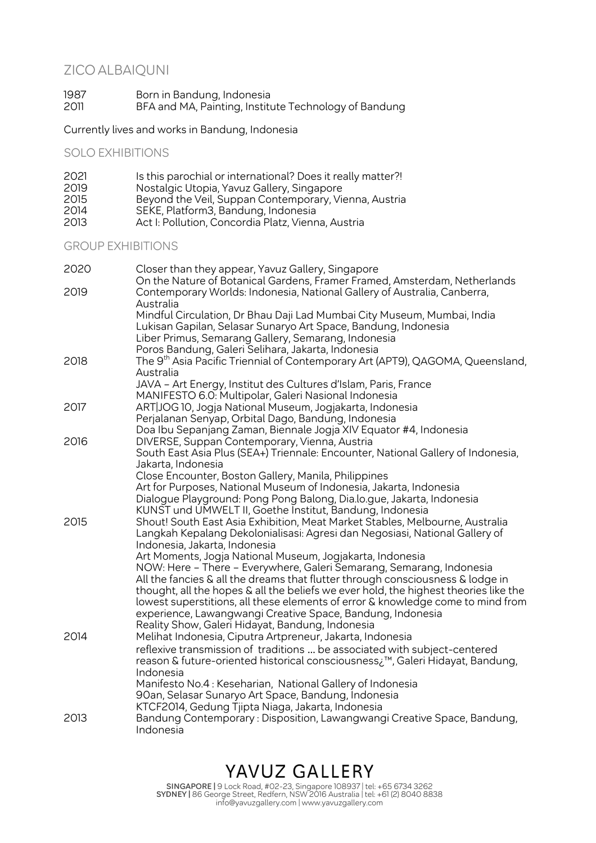# ZICO ALBAIQUNI

1987 Born in Bandung, Indonesia 2011 BFA and MA, Painting, Institute Technology of Bandung

Currently lives and works in Bandung, Indonesia

SOLO EXHIBITIONS

| Is this parochial or international? Does it really matter?! |
|-------------------------------------------------------------|
| Nostalgic Utopia, Yavuz Gallery, Singapore                  |
| Beyond the Veil, Suppan Contemporary, Vienna, Austria       |
| SEKE, Platform3, Bandung, Indonesia                         |
| Act I: Pollution, Concordia Platz, Vienna, Austria          |
|                                                             |

#### GROUP EXHIBITIONS

| 2020 | Closer than they appear, Yavuz Gallery, Singapore<br>On the Nature of Botanical Gardens, Framer Framed, Amsterdam, Netherlands                                                               |
|------|----------------------------------------------------------------------------------------------------------------------------------------------------------------------------------------------|
| 2019 | Contemporary Worlds: Indonesia, National Gallery of Australia, Canberra,<br>Australia                                                                                                        |
|      | Mindful Circulation, Dr Bhau Daji Lad Mumbai City Museum, Mumbai, India                                                                                                                      |
|      | Lukisan Gapilan, Selasar Sunaryo Art Space, Bandung, Indonesia                                                                                                                               |
|      | Liber Primus, Semarang Gallery, Semarang, Indonesia                                                                                                                                          |
|      | Poros Bandung, Galeri Selihara, Jakarta, Indonesia                                                                                                                                           |
| 2018 | The 9 <sup>th</sup> Asia Pacific Triennial of Contemporary Art (APT9), QAGOMA, Queensland,<br>Australia                                                                                      |
|      | JAVA - Art Energy, Institut des Cultures d'Islam, Paris, France                                                                                                                              |
|      | MANIFESTO 6.0: Multipolar, Galeri Nasional Indonesia                                                                                                                                         |
| 2017 | ART JOG 10, Jogja National Museum, Jogjakarta, Indonesia                                                                                                                                     |
|      | Perjalanan Senyap, Orbital Dago, Bandung, Indonesia                                                                                                                                          |
|      | Doa Ibu Sepanjang Zaman, Biennale Jogja XIV Equator #4, Indonesia                                                                                                                            |
| 2016 | DIVERSE, Suppan Contemporary, Vienna, Austria                                                                                                                                                |
|      | South East Asia Plus (SEA+) Triennale: Encounter, National Gallery of Indonesia,<br>Jakarta, Indonesia                                                                                       |
|      | Close Encounter, Boston Gallery, Manila, Philippines                                                                                                                                         |
|      | Art for Purposes, National Museum of Indonesia, Jakarta, Indonesia                                                                                                                           |
|      | Dialogue Playground: Pong Pong Balong, Dia.lo.gue, Jakarta, Indonesia                                                                                                                        |
|      | KUNST und UMWELT II, Goethe Institut, Bandung, Indonesia                                                                                                                                     |
| 2015 | Shout! South East Asia Exhibition, Meat Market Stables, Melbourne, Australia<br>Langkah Kepalang Dekolonialisasi: Agresi dan Negosiasi, National Gallery of<br>Indonesia, Jakarta, Indonesia |
|      | Art Moments, Jogja National Museum, Jogjakarta, Indonesia                                                                                                                                    |
|      | NOW: Here - There - Everywhere, Galeri Semarang, Semarang, Indonesia                                                                                                                         |
|      | All the fancies & all the dreams that flutter through consciousness & lodge in                                                                                                               |
|      | thought, all the hopes & all the beliefs we ever hold, the highest theories like the                                                                                                         |
|      | lowest superstitions, all these elements of error & knowledge come to mind from                                                                                                              |
|      | experience, Lawangwangi Creative Space, Bandung, Indonesia                                                                                                                                   |
|      | Reality Show, Galeri Hidayat, Bandung, Indonesia                                                                                                                                             |
| 2014 | Melihat Indonesia, Ciputra Artpreneur, Jakarta, Indonesia                                                                                                                                    |
|      | reflexive transmission of traditions  be associated with subject-centered                                                                                                                    |
|      | reason & future-oriented historical consciousness; <sup>™</sup> , Galeri Hidayat, Bandung,<br>Indonesia                                                                                      |
|      | Manifesto No.4: Keseharian, National Gallery of Indonesia                                                                                                                                    |
|      | 90an, Selasar Sunaryo Art Space, Bandung, Indonesia                                                                                                                                          |
|      | KTCF2014, Gedung Tjipta Niaga, Jakarta, Indonesia                                                                                                                                            |
| 2013 | Bandung Contemporary: Disposition, Lawangwangi Creative Space, Bandung,<br>Indonesia                                                                                                         |